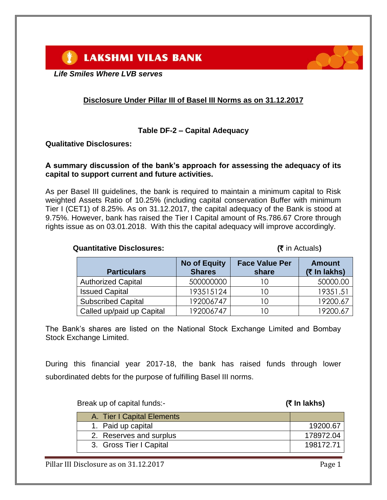*Life Smiles Where LVB serves*

## **Disclosure Under Pillar III of Basel III Norms as on 31.12.2017**

#### **Table DF-2 – Capital Adequacy**

#### **Qualitative Disclosures:**

#### **A summary discussion of the bank's approach for assessing the adequacy of its capital to support current and future activities.**

As per Basel III guidelines, the bank is required to maintain a minimum capital to Risk weighted Assets Ratio of 10.25% (including capital conservation Buffer with minimum Tier I (CET1) of 8.25%. As on 31.12.2017, the capital adequacy of the Bank is stood at 9.75%. However, bank has raised the Tier I Capital amount of Rs.786.67 Crore through rights issue as on 03.01.2018. With this the capital adequacy will improve accordingly.

**Quantitative Disclosures:**  $(3 \times 10^{-10})$ 

|                           | <b>No of Equity</b> | <b>Face Value Per</b> | <b>Amount</b> |
|---------------------------|---------------------|-----------------------|---------------|
| <b>Particulars</b>        | <b>Shares</b>       | share                 | (₹ In lakhs)  |
| <b>Authorized Capital</b> | 500000000           |                       | 50000.00      |
| <b>Issued Capital</b>     | 193515124           |                       | 19351.51      |
| <b>Subscribed Capital</b> | 192006747           |                       | 19200.67      |
| Called up/paid up Capital | 192006747           |                       | 19200 67      |

The Bank's shares are listed on the National Stock Exchange Limited and Bombay Stock Exchange Limited.

During this financial year 2017-18, the bank has raised funds through lower subordinated debts for the purpose of fulfilling Basel III norms.

Break up of capital funds:- **(**` **In lakhs)**

| A. Tier I Capital Elements |           |
|----------------------------|-----------|
| 1. Paid up capital         | 19200.67  |
| 2. Reserves and surplus    | 178972.04 |
| 3. Gross Tier I Capital    | 198172.71 |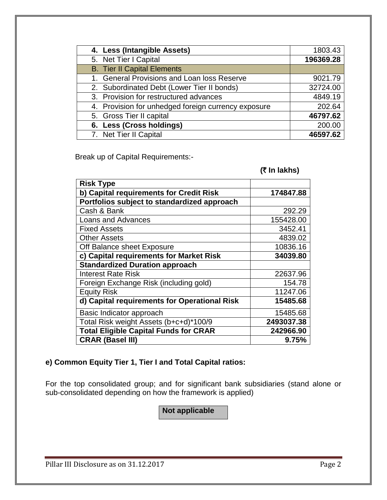| 4. Less (Intangible Assets)                         | 1803.43   |
|-----------------------------------------------------|-----------|
| 5. Net Tier I Capital                               | 196369.28 |
| <b>B.</b> Tier II Capital Elements                  |           |
| 1. General Provisions and Loan loss Reserve         | 9021.79   |
| 2. Subordinated Debt (Lower Tier II bonds)          | 32724.00  |
| 3. Provision for restructured advances              | 4849.19   |
| 4. Provision for unhedged foreign currency exposure | 202.64    |
| 5. Gross Tier II capital                            | 46797.62  |
| 6. Less (Cross holdings)                            | 200.00    |
| 7. Net Tier II Capital                              | 46597.62  |

Break up of Capital Requirements:-

#### **(**` **In lakhs)**

| <b>Risk Type</b>                             |            |
|----------------------------------------------|------------|
| b) Capital requirements for Credit Risk      | 174847.88  |
| Portfolios subject to standardized approach  |            |
| Cash & Bank                                  | 292.29     |
| <b>Loans and Advances</b>                    | 155428.00  |
| <b>Fixed Assets</b>                          | 3452.41    |
| <b>Other Assets</b>                          | 4839.02    |
| Off Balance sheet Exposure                   | 10836.16   |
| c) Capital requirements for Market Risk      | 34039.80   |
| <b>Standardized Duration approach</b>        |            |
| <b>Interest Rate Risk</b>                    | 22637.96   |
| Foreign Exchange Risk (including gold)       | 154.78     |
| <b>Equity Risk</b>                           | 11247.06   |
| d) Capital requirements for Operational Risk | 15485.68   |
| Basic Indicator approach                     | 15485.68   |
| Total Risk weight Assets (b+c+d)*100/9       | 2493037.38 |
| <b>Total Eligible Capital Funds for CRAR</b> | 242966.90  |
| <b>CRAR (Basel III)</b>                      | 9.75%      |

### **e) Common Equity Tier 1, Tier I and Total Capital ratios:**

For the top consolidated group; and for significant bank subsidiaries (stand alone or sub-consolidated depending on how the framework is applied)

**Not applicable**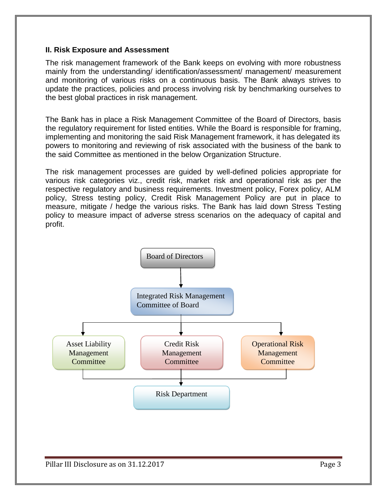#### **II. Risk Exposure and Assessment**

The risk management framework of the Bank keeps on evolving with more robustness mainly from the understanding/ identification/assessment/ management/ measurement and monitoring of various risks on a continuous basis. The Bank always strives to update the practices, policies and process involving risk by benchmarking ourselves to the best global practices in risk management.

The Bank has in place a Risk Management Committee of the Board of Directors, basis the regulatory requirement for listed entities. While the Board is responsible for framing, implementing and monitoring the said Risk Management framework, it has delegated its powers to monitoring and reviewing of risk associated with the business of the bank to the said Committee as mentioned in the below Organization Structure.

The risk management processes are guided by well-defined policies appropriate for various risk categories viz., credit risk, market risk and operational risk as per the respective regulatory and business requirements. Investment policy, Forex policy, ALM policy, Stress testing policy, Credit Risk Management Policy are put in place to measure, mitigate / hedge the various risks. The Bank has laid down Stress Testing policy to measure impact of adverse stress scenarios on the adequacy of capital and profit.

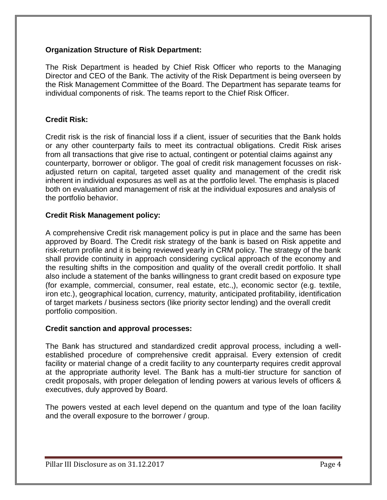#### **Organization Structure of Risk Department:**

The Risk Department is headed by Chief Risk Officer who reports to the Managing Director and CEO of the Bank. The activity of the Risk Department is being overseen by the Risk Management Committee of the Board. The Department has separate teams for individual components of risk. The teams report to the Chief Risk Officer.

#### **Credit Risk:**

Credit risk is the risk of financial loss if a client, issuer of securities that the Bank holds or any other counterparty fails to meet its contractual obligations. Credit Risk arises from all transactions that give rise to actual, contingent or potential claims against any counterparty, borrower or obligor. The goal of credit risk management focusses on riskadjusted return on capital, targeted asset quality and management of the credit risk inherent in individual exposures as well as at the portfolio level. The emphasis is placed both on evaluation and management of risk at the individual exposures and analysis of the portfolio behavior.

#### **Credit Risk Management policy:**

A comprehensive Credit risk management policy is put in place and the same has been approved by Board. The Credit risk strategy of the bank is based on Risk appetite and risk-return profile and it is being reviewed yearly in CRM policy. The strategy of the bank shall provide continuity in approach considering cyclical approach of the economy and the resulting shifts in the composition and quality of the overall credit portfolio. It shall also include a statement of the banks willingness to grant credit based on exposure type (for example, commercial, consumer, real estate, etc.,), economic sector (e.g. textile, iron etc.), geographical location, currency, maturity, anticipated profitability, identification of target markets / business sectors (like priority sector lending) and the overall credit portfolio composition.

#### **Credit sanction and approval processes:**

The Bank has structured and standardized credit approval process, including a wellestablished procedure of comprehensive credit appraisal. Every extension of credit facility or material change of a credit facility to any counterparty requires credit approval at the appropriate authority level. The Bank has a multi-tier structure for sanction of credit proposals, with proper delegation of lending powers at various levels of officers & executives, duly approved by Board.

The powers vested at each level depend on the quantum and type of the loan facility and the overall exposure to the borrower / group.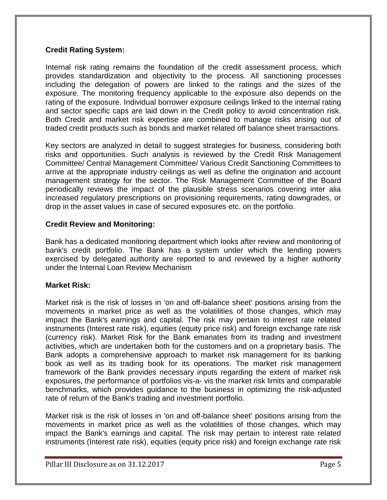#### **Credit Rating System:**

Internal risk rating remains the foundation of the credit assessment process, which provides standardization and objectivity to the process. All sanctioning processes including the delegation of powers are linked to the ratings and the sizes of the exposure. The monitoring frequency applicable to the exposure also depends on the rating of the exposure. Individual borrower exposure ceilings linked to the internal rating and sector specific caps are laid down in the Credit policy to avoid concentration risk. Both Credit and market risk expertise are combined to manage risks arising out of traded credit products such as bonds and market related off balance sheet transactions.

Key sectors are analyzed in detail to suggest strategies for business, considering both risks and opportunities. Such analysis is reviewed by the Credit Risk Management Committee/ Central Management Committee/ Various Credit Sanctioning Committees to arrive at the appropriate industry ceilings as well as define the origination and account management strategy for the sector. The Risk Management Committee of the Board periodically reviews the impact of the plausible stress scenarios covering inter alia increased regulatory prescriptions on provisioning requirements, rating downgrades, or drop in the asset values in case of secured exposures etc. on the portfolio.

#### **Credit Review and Monitoring:**

Bank has a dedicated monitoring department which looks after review and monitoring of bank's credit portfolio. The Bank has a system under which the lending powers exercised by delegated authority are reported to and reviewed by a higher authority under the Internal Loan Review Mechanism

#### **Market Risk:**

Market risk is the risk of losses in 'on and off-balance sheet' positions arising from the movements in market price as well as the volatilities of those changes, which may impact the Bank's earnings and capital. The risk may pertain to interest rate related instruments (Interest rate risk), equities (equity price risk) and foreign exchange rate risk (currency risk). Market Risk for the Bank emanates from its trading and investment activities, which are undertaken both for the customers and on a proprietary basis. The Bank adopts a comprehensive approach to market risk management for its banking book as well as its trading book for its operations. The market risk management framework of the Bank provides necessary inputs regarding the extent of market risk exposures, the performance of portfolios vis-a- vis the market risk limits and comparable benchmarks, which provides guidance to the business in optimizing the risk-adjusted rate of return of the Bank's trading and investment portfolio.

Market risk is the risk of losses in 'on and off-balance sheet' positions arising from the movements in market price as well as the volatilities of those changes, which may impact the Bank's earnings and capital. The risk may pertain to interest rate related instruments (Interest rate risk), equities (equity price risk) and foreign exchange rate risk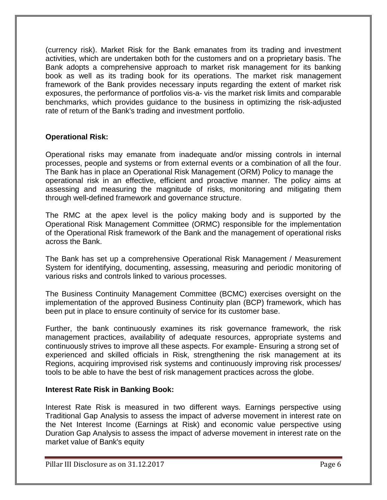(currency risk). Market Risk for the Bank emanates from its trading and investment activities, which are undertaken both for the customers and on a proprietary basis. The Bank adopts a comprehensive approach to market risk management for its banking book as well as its trading book for its operations. The market risk management framework of the Bank provides necessary inputs regarding the extent of market risk exposures, the performance of portfolios vis-a- vis the market risk limits and comparable benchmarks, which provides guidance to the business in optimizing the risk-adjusted rate of return of the Bank's trading and investment portfolio.

#### **Operational Risk:**

Operational risks may emanate from inadequate and/or missing controls in internal processes, people and systems or from external events or a combination of all the four. The Bank has in place an Operational Risk Management (ORM) Policy to manage the operational risk in an effective, efficient and proactive manner. The policy aims at assessing and measuring the magnitude of risks, monitoring and mitigating them through well-defined framework and governance structure.

The RMC at the apex level is the policy making body and is supported by the Operational Risk Management Committee (ORMC) responsible for the implementation of the Operational Risk framework of the Bank and the management of operational risks across the Bank.

The Bank has set up a comprehensive Operational Risk Management / Measurement System for identifying, documenting, assessing, measuring and periodic monitoring of various risks and controls linked to various processes.

The Business Continuity Management Committee (BCMC) exercises oversight on the implementation of the approved Business Continuity plan (BCP) framework, which has been put in place to ensure continuity of service for its customer base.

Further, the bank continuously examines its risk governance framework, the risk management practices, availability of adequate resources, appropriate systems and continuously strives to improve all these aspects. For example- Ensuring a strong set of experienced and skilled officials in Risk, strengthening the risk management at its Regions, acquiring improvised risk systems and continuously improving risk processes/ tools to be able to have the best of risk management practices across the globe.

#### **Interest Rate Risk in Banking Book:**

Interest Rate Risk is measured in two different ways. Earnings perspective using Traditional Gap Analysis to assess the impact of adverse movement in interest rate on the Net Interest Income (Earnings at Risk) and economic value perspective using Duration Gap Analysis to assess the impact of adverse movement in interest rate on the market value of Bank's equity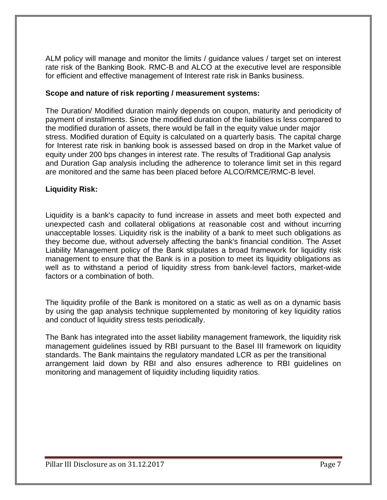ALM policy will manage and monitor the limits / guidance values / target set on interest rate risk of the Banking Book. RMC-B and ALCO at the executive level are responsible for efficient and effective management of Interest rate risk in Banks business.

#### **Scope and nature of risk reporting / measurement systems:**

The Duration/ Modified duration mainly depends on coupon, maturity and periodicity of payment of installments. Since the modified duration of the liabilities is less compared to the modified duration of assets, there would be fall in the equity value under major stress. Modified duration of Equity is calculated on a quarterly basis. The capital charge for Interest rate risk in banking book is assessed based on drop in the Market value of equity under 200 bps changes in interest rate. The results of Traditional Gap analysis and Duration Gap analysis including the adherence to tolerance limit set in this regard are monitored and the same has been placed before ALCO/RMCE/RMC-B level.

#### **Liquidity Risk:**

Liquidity is a bank's capacity to fund increase in assets and meet both expected and unexpected cash and collateral obligations at reasonable cost and without incurring unacceptable losses. Liquidity risk is the inability of a bank to meet such obligations as they become due, without adversely affecting the bank's financial condition. The Asset Liability Management policy of the Bank stipulates a broad framework for liquidity risk management to ensure that the Bank is in a position to meet its liquidity obligations as well as to withstand a period of liquidity stress from bank-level factors, market-wide factors or a combination of both.

The liquidity profile of the Bank is monitored on a static as well as on a dynamic basis by using the gap analysis technique supplemented by monitoring of key liquidity ratios and conduct of liquidity stress tests periodically.

The Bank has integrated into the asset liability management framework, the liquidity risk management guidelines issued by RBI pursuant to the Basel III framework on liquidity standards. The Bank maintains the regulatory mandated LCR as per the transitional arrangement laid down by RBI and also ensures adherence to RBI guidelines on monitoring and management of liquidity including liquidity ratios.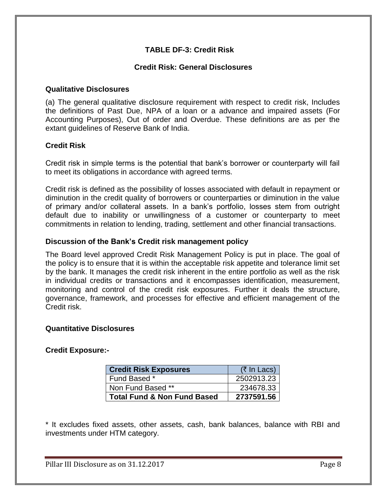#### **TABLE DF-3: Credit Risk**

#### **Credit Risk: General Disclosures**

#### **Qualitative Disclosures**

(a) The general qualitative disclosure requirement with respect to credit risk, Includes the definitions of Past Due, NPA of a loan or a advance and impaired assets (For Accounting Purposes), Out of order and Overdue. These definitions are as per the extant guidelines of Reserve Bank of India.

#### **Credit Risk**

Credit risk in simple terms is the potential that bank's borrower or counterparty will fail to meet its obligations in accordance with agreed terms.

Credit risk is defined as the possibility of losses associated with default in repayment or diminution in the credit quality of borrowers or counterparties or diminution in the value of primary and/or collateral assets. In a bank's portfolio, losses stem from outright default due to inability or unwillingness of a customer or counterparty to meet commitments in relation to lending, trading, settlement and other financial transactions.

#### **Discussion of the Bank's Credit risk management policy**

The Board level approved Credit Risk Management Policy is put in place. The goal of the policy is to ensure that it is within the acceptable risk appetite and tolerance limit set by the bank. It manages the credit risk inherent in the entire portfolio as well as the risk in individual credits or transactions and it encompasses identification, measurement, monitoring and control of the credit risk exposures. Further it deals the structure, governance, framework, and processes for effective and efficient management of the Credit risk.

#### **Quantitative Disclosures**

#### **Credit Exposure:-**

| <b>Credit Risk Exposures</b>           | $(7 \text{ In}$ Lacs) |
|----------------------------------------|-----------------------|
| Fund Based *                           | 2502913.23            |
| Non Fund Based **                      | 234678.33             |
| <b>Total Fund &amp; Non Fund Based</b> | 2737591.56            |

\* It excludes fixed assets, other assets, cash, bank balances, balance with RBI and investments under HTM category.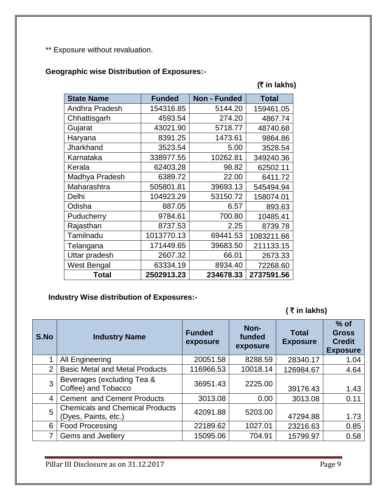\*\* Exposure without revaluation.

## **Geographic wise Distribution of Exposures:-**

# **(**` **in lakhs)**

| <b>State Name</b> | <b>Funded</b> | <b>Non - Funded</b> | <b>Total</b> |
|-------------------|---------------|---------------------|--------------|
| Andhra Pradesh    | 154316.85     | 5144.20             | 159461.05    |
| Chhattisgarh      | 4593.54       | 274.20              | 4867.74      |
| Gujarat           | 43021.90      | 5718.77             | 48740.68     |
| Haryana           | 8391.25       | 1473.61             | 9864.86      |
| Jharkhand         | 3523.54       | 5.00                | 3528.54      |
| Karnataka         | 338977.55     | 10262.81            | 349240.36    |
| Kerala            | 62403.28      | 98.82               | 62502.11     |
| Madhya Pradesh    | 6389.72       | 22.00               | 6411.72      |
| Maharashtra       | 505801.81     | 39693.13            | 545494.94    |
| Delhi             | 104923.29     | 53150.72            | 158074.01    |
| Odisha            | 887.05        | 6.57                | 893.63       |
| Puducherry        | 9784.61       | 700.80              | 10485.41     |
| Rajasthan         | 8737.53       | 2.25                | 8739.78      |
| Tamilnadu         | 1013770.13    | 69441.53            | 1083211.66   |
| Telangana         | 171449.65     | 39683.50            | 211133.15    |
| Uttar pradesh     | 2607.32       | 66.01               | 2673.33      |
| West Bengal       | 63334.19      | 8934.40             | 72268.60     |
| <b>Total</b>      | 2502913.23    | 234678.33           | 2737591.56   |

## **Industry Wise distribution of Exposures:-**

**(** ` **in lakhs)** 

| S.No | <b>Industry Name</b>                                           | <b>Funded</b><br>exposure | Non-<br>funded<br>exposure | <b>Total</b><br><b>Exposure</b> | $%$ of<br><b>Gross</b><br><b>Credit</b><br><b>Exposure</b> |
|------|----------------------------------------------------------------|---------------------------|----------------------------|---------------------------------|------------------------------------------------------------|
|      | All Engineering                                                | 20051.58                  | 8288.59                    | 28340.17                        | 1.04                                                       |
| 2    | <b>Basic Metal and Metal Products</b>                          | 116966.53                 | 10018.14                   | 126984.67                       | 4.64                                                       |
| 3    | Beverages (excluding Tea &<br>Coffee) and Tobacco              | 36951.43                  | 2225.00                    | 39176.43                        | 1.43                                                       |
| 4    | <b>Cement and Cement Products</b>                              | 3013.08                   | 0.00                       | 3013.08                         | 0.11                                                       |
| 5    | <b>Chemicals and Chemical Products</b><br>(Dyes, Paints, etc.) | 42091.88                  | 5203.00                    | 47294.88                        | 1.73                                                       |
| 6    | <b>Food Processing</b>                                         | 22189.62                  | 1027.01                    | 23216.63                        | 0.85                                                       |
| 7    | Gems and Jwellery                                              | 15095.06                  | 704.91                     | 15799.97                        | 0.58                                                       |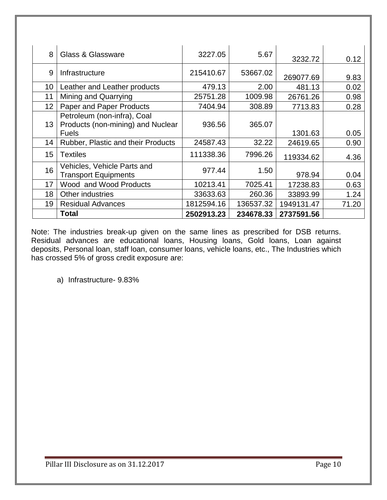| 8               | Glass & Glassware                                                                | 3227.05    | 5.67      | 3232.72    | 0.12  |
|-----------------|----------------------------------------------------------------------------------|------------|-----------|------------|-------|
| 9               | Infrastructure                                                                   | 215410.67  | 53667.02  | 269077.69  | 9.83  |
| 10              | Leather and Leather products                                                     | 479.13     | 2.00      | 481.13     | 0.02  |
| 11              | Mining and Quarrying                                                             | 25751.28   | 1009.98   | 26761.26   | 0.98  |
| 12 <sub>2</sub> | Paper and Paper Products                                                         | 7404.94    | 308.89    | 7713.83    | 0.28  |
| 13 <sup>2</sup> | Petroleum (non-infra), Coal<br>Products (non-mining) and Nuclear<br><b>Fuels</b> | 936.56     | 365.07    | 1301.63    | 0.05  |
| 14              | Rubber, Plastic and their Products                                               | 24587.43   | 32.22     | 24619.65   | 0.90  |
| 15              | <b>Textiles</b>                                                                  | 111338.36  | 7996.26   | 119334.62  | 4.36  |
| 16              | Vehicles, Vehicle Parts and<br><b>Transport Equipments</b>                       | 977.44     | 1.50      | 978.94     | 0.04  |
| 17              | Wood and Wood Products                                                           | 10213.41   | 7025.41   | 17238.83   | 0.63  |
| 18              | Other industries                                                                 | 33633.63   | 260.36    | 33893.99   | 1.24  |
| 19              | <b>Residual Advances</b>                                                         | 1812594.16 | 136537.32 | 1949131.47 | 71.20 |
|                 | <b>Total</b>                                                                     | 2502913.23 | 234678.33 | 2737591.56 |       |

Note: The industries break-up given on the same lines as prescribed for DSB returns. Residual advances are educational loans, Housing loans, Gold loans, Loan against deposits, Personal loan, staff loan, consumer loans, vehicle loans, etc., The Industries which has crossed 5% of gross credit exposure are:

a) Infrastructure- 9.83%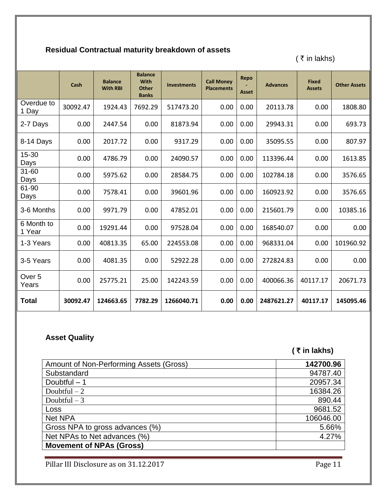# **Residual Contractual maturity breakdown of assets**

( $\bar{\tau}$  in lakhs)

|                            | Cash     | <b>Balance</b><br><b>With RBI</b> | <b>Balance</b><br><b>With</b><br><b>Other</b><br><b>Banks</b> | <b>Investments</b> | <b>Call Money</b><br><b>Placements</b> | Repo<br><b>Asset</b> | <b>Advances</b> | <b>Fixed</b><br><b>Assets</b> | <b>Other Assets</b> |
|----------------------------|----------|-----------------------------------|---------------------------------------------------------------|--------------------|----------------------------------------|----------------------|-----------------|-------------------------------|---------------------|
| Overdue to<br>1 Day        | 30092.47 | 1924.43                           | 7692.29                                                       | 517473.20          | 0.00                                   | 0.00                 | 20113.78        | 0.00                          | 1808.80             |
| 2-7 Days                   | 0.00     | 2447.54                           | 0.00                                                          | 81873.94           | 0.00                                   | 0.00                 | 29943.31        | 0.00                          | 693.73              |
| 8-14 Days                  | 0.00     | 2017.72                           | 0.00                                                          | 9317.29            | 0.00                                   | 0.00                 | 35095.55        | 0.00                          | 807.97              |
| 15-30<br>Days              | 0.00     | 4786.79                           | 0.00                                                          | 24090.57           | 0.00                                   | 0.00                 | 113396.44       | 0.00                          | 1613.85             |
| 31-60<br>Days              | 0.00     | 5975.62                           | 0.00                                                          | 28584.75           | 0.00                                   | 0.00                 | 102784.18       | 0.00                          | 3576.65             |
| 61-90<br>Days              | 0.00     | 7578.41                           | 0.00                                                          | 39601.96           | 0.00                                   | 0.00                 | 160923.92       | 0.00                          | 3576.65             |
| 3-6 Months                 | 0.00     | 9971.79                           | 0.00                                                          | 47852.01           | 0.00                                   | 0.00                 | 215601.79       | 0.00                          | 10385.16            |
| 6 Month to<br>1 Year       | 0.00     | 19291.44                          | 0.00                                                          | 97528.04           | 0.00                                   | 0.00                 | 168540.07       | 0.00                          | 0.00                |
| 1-3 Years                  | 0.00     | 40813.35                          | 65.00                                                         | 224553.08          | 0.00                                   | 0.00                 | 968331.04       | 0.00                          | 101960.92           |
| 3-5 Years                  | 0.00     | 4081.35                           | 0.00                                                          | 52922.28           | 0.00                                   | 0.00                 | 272824.83       | 0.00                          | 0.00                |
| Over <sub>5</sub><br>Years | 0.00     | 25775.21                          | 25.00                                                         | 142243.59          | 0.00                                   | 0.00                 | 400066.36       | 40117.17                      | 20671.73            |
| <b>Total</b>               | 30092.47 | 124663.65                         | 7782.29                                                       | 1266040.71         | 0.00                                   | 0.00                 | 2487621.27      | 40117.17                      | 145095.46           |

## **Asset Quality**

 **(** ` **in lakhs)** 

| Amount of Non-Performing Assets (Gross) | 142700.96 |
|-----------------------------------------|-----------|
| Substandard                             | 94787.40  |
| Doubtful $-1$                           | 20957.34  |
| Doubtful $-2$                           | 16384.26  |
| Doubtful $-3$                           | 890.44    |
| Loss                                    | 9681.52   |
| <b>Net NPA</b>                          | 106046.00 |
| Gross NPA to gross advances (%)         | 5.66%     |
| Net NPAs to Net advances (%)            | 4.27%     |
| <b>Movement of NPAs (Gross)</b>         |           |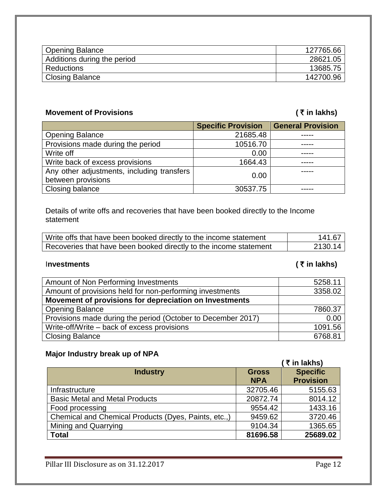| Opening Balance             | 127765.66 |
|-----------------------------|-----------|
| Additions during the period | 28621.05  |
| <b>Reductions</b>           | 13685.75  |
| Closing Balance             | 142700.96 |

## **Movement of Provisions (₹in lakhs)**

|                                                                  | <b>Specific Provision</b> | <b>General Provision</b> |
|------------------------------------------------------------------|---------------------------|--------------------------|
| <b>Opening Balance</b>                                           | 21685.48                  |                          |
| Provisions made during the period                                | 10516.70                  |                          |
| Write off                                                        | 0.00                      |                          |
| Write back of excess provisions                                  | 1664.43                   |                          |
| Any other adjustments, including transfers<br>between provisions | 0.00                      |                          |
| Closing balance                                                  | 30537.75                  |                          |

Details of write offs and recoveries that have been booked directly to the Income statement

| Write offs that have been booked directly to the income statement | 141.67  |
|-------------------------------------------------------------------|---------|
| Recoveries that have been booked directly to the income statement | 2130.14 |

## I**nvestments (** ` **in lakhs)**

| Amount of Non Performing Investments                         | 5258.11 |
|--------------------------------------------------------------|---------|
| Amount of provisions held for non-performing investments     | 3358.02 |
| Movement of provisions for depreciation on Investments       |         |
| <b>Opening Balance</b>                                       | 7860.37 |
| Provisions made during the period (October to December 2017) | 0.00    |
| Write-off/Write – back of excess provisions                  | 1091.56 |
| <b>Closing Balance</b>                                       | 6768.81 |

# **Major Industry break up of NPA**

|                                                      |              | (₹ in lakhs)     |
|------------------------------------------------------|--------------|------------------|
| <b>Industry</b>                                      | <b>Gross</b> | <b>Specific</b>  |
|                                                      | <b>NPA</b>   | <b>Provision</b> |
| Infrastructure                                       | 32705.46     | 5155.63          |
| <b>Basic Metal and Metal Products</b>                | 20872.74     | 8014.12          |
| Food processing                                      | 9554.42      | 1433.16          |
| Chemical and Chemical Products (Dyes, Paints, etc.,) | 9459.62      | 3720.46          |
| Mining and Quarrying                                 | 9104.34      | 1365.65          |
| <b>Total</b>                                         | 81696.58     | 25689.02         |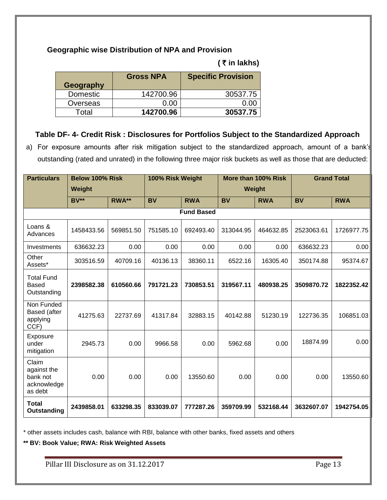#### **Geographic wise Distribution of NPA and Provision**

#### **(** ` **in lakhs)**

| Geography | <b>Gross NPA</b> | <b>Specific Provision</b> |
|-----------|------------------|---------------------------|
| Domestic  | 142700.96        | 30537.75                  |
| Overseas  | 0.00             | n nn                      |
| Total     | 142700.96        | 30537.75                  |

#### **Table DF- 4- Credit Risk : Disclosures for Portfolios Subject to the Standardized Approach**

a) For exposure amounts after risk mitigation subject to the standardized approach, amount of a bank's outstanding (rated and unrated) in the following three major risk buckets as well as those that are deducted:

| <b>Particulars</b>                                         | <b>Below 100% Risk</b> |           | 100% Risk Weight |                   |               | More than 100% Risk |            | <b>Grand Total</b> |
|------------------------------------------------------------|------------------------|-----------|------------------|-------------------|---------------|---------------------|------------|--------------------|
|                                                            | Weight                 |           |                  |                   | <b>Weight</b> |                     |            |                    |
|                                                            | <b>BV**</b>            | RWA**     | <b>BV</b>        | <b>RWA</b>        | <b>BV</b>     | <b>RWA</b>          | <b>BV</b>  | <b>RWA</b>         |
|                                                            |                        |           |                  | <b>Fund Based</b> |               |                     |            |                    |
| Loans &<br>Advances                                        | 1458433.56             | 569851.50 | 751585.10        | 692493.40         | 313044.95     | 464632.85           | 2523063.61 | 1726977.75         |
| Investments                                                | 636632.23              | 0.00      | 0.00             | 0.00              | 0.00          | 0.00                | 636632.23  | 0.00               |
| Other<br>Assets*                                           | 303516.59              | 40709.16  | 40136.13         | 38360.11          | 6522.16       | 16305.40            | 350174.88  | 95374.67           |
| <b>Total Fund</b><br><b>Based</b><br>Outstanding           | 2398582.38             | 610560.66 | 791721.23        | 730853.51         | 319567.11     | 480938.25           | 3509870.72 | 1822352.42         |
| Non Funded<br>Based (after<br>applying<br>CCF)             | 41275.63               | 22737.69  | 41317.84         | 32883.15          | 40142.88      | 51230.19            | 122736.35  | 106851.03          |
| Exposure<br>under<br>mitigation                            | 2945.73                | 0.00      | 9966.58          | 0.00              | 5962.68       | 0.00                | 18874.99   | 0.00               |
| Claim<br>against the<br>bank not<br>acknowledge<br>as debt | 0.00                   | 0.00      | 0.00             | 13550.60          | 0.00          | 0.00                | 0.00       | 13550.60           |
| <b>Total</b><br>Outstanding                                | 2439858.01             | 633298.35 | 833039.07        | 777287.26         | 359709.99     | 532168.44           | 3632607.07 | 1942754.05         |

\* other assets includes cash, balance with RBI, balance with other banks, fixed assets and others

**\*\* BV: Book Value; RWA: Risk Weighted Assets**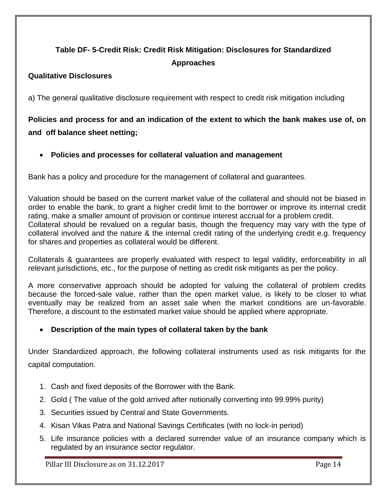# **Table DF- 5-Credit Risk: Credit Risk Mitigation: Disclosures for Standardized Approaches**

### **Qualitative Disclosures**

a) The general qualitative disclosure requirement with respect to credit risk mitigation including

**Policies and process for and an indication of the extent to which the bank makes use of, on and off balance sheet netting;**

### **Policies and processes for collateral valuation and management**

Bank has a policy and procedure for the management of collateral and guarantees.

Valuation should be based on the current market value of the collateral and should not be biased in order to enable the bank, to grant a higher credit limit to the borrower or improve its internal credit rating, make a smaller amount of provision or continue interest accrual for a problem credit. Collateral should be revalued on a regular basis, though the frequency may vary with the type of collateral involved and the nature & the internal credit rating of the underlying credit e.g. frequency for shares and properties as collateral would be different.

Collaterals & guarantees are properly evaluated with respect to legal validity, enforceability in all relevant jurisdictions, etc., for the purpose of netting as credit risk mitigants as per the policy.

A more conservative approach should be adopted for valuing the collateral of problem credits because the forced-sale value, rather than the open market value, is likely to be closer to what eventually may be realized from an asset sale when the market conditions are un-favorable. Therefore, a discount to the estimated market value should be applied where appropriate.

#### **Description of the main types of collateral taken by the bank**

Under Standardized approach, the following collateral instruments used as risk mitigants for the capital computation.

- 1. Cash and fixed deposits of the Borrower with the Bank.
- 2. Gold ( The value of the gold arrived after notionally converting into 99.99% purity)
- 3. Securities issued by Central and State Governments.
- 4. Kisan Vikas Patra and National Savings Certificates (with no lock-in period)
- 5. Life insurance policies with a declared surrender value of an insurance company which is regulated by an insurance sector regulator.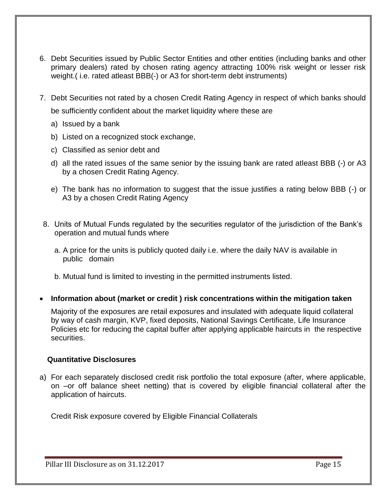- 6. Debt Securities issued by Public Sector Entities and other entities (including banks and other primary dealers) rated by chosen rating agency attracting 100% risk weight or lesser risk weight.( i.e. rated atleast BBB(-) or A3 for short-term debt instruments)
- 7. Debt Securities not rated by a chosen Credit Rating Agency in respect of which banks should be sufficiently confident about the market liquidity where these are
	- a) Issued by a bank
	- b) Listed on a recognized stock exchange,
	- c) Classified as senior debt and
	- d) all the rated issues of the same senior by the issuing bank are rated atleast BBB (-) or A3 by a chosen Credit Rating Agency.
	- e) The bank has no information to suggest that the issue justifies a rating below BBB (-) or A3 by a chosen Credit Rating Agency
- 8. Units of Mutual Funds regulated by the securities regulator of the jurisdiction of the Bank's operation and mutual funds where
	- a. A price for the units is publicly quoted daily i.e. where the daily NAV is available in public domain
	- b. Mutual fund is limited to investing in the permitted instruments listed.
- **Information about (market or credit ) risk concentrations within the mitigation taken**

Majority of the exposures are retail exposures and insulated with adequate liquid collateral by way of cash margin, KVP, fixed deposits, National Savings Certificate, Life Insurance Policies etc for reducing the capital buffer after applying applicable haircuts in the respective securities.

#### **Quantitative Disclosures**

a) For each separately disclosed credit risk portfolio the total exposure (after, where applicable, on –or off balance sheet netting) that is covered by eligible financial collateral after the application of haircuts.

Credit Risk exposure covered by Eligible Financial Collaterals